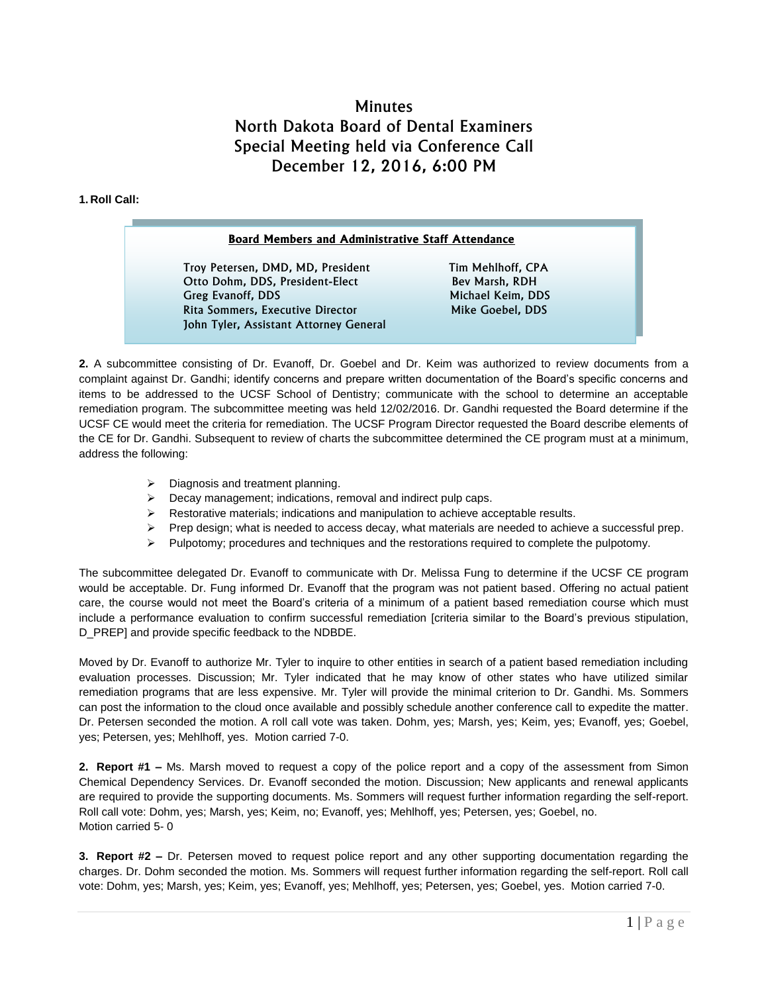## **Minutes** North Dakota Board of Dental Examiners Special Meeting held via Conference Call December 12, 2016, 6:00 PM

## **1. Roll Call:**

## **Board Members and Administrative Staff Attendance**

Troy Petersen, DMD, MD, President Tim Mehlhoff, CPA Otto Dohm, DDS, President-Elect Bev Marsh, RDH Greg Evanoff, DDS Michael Keim, DDS Rita Sommers, Executive Director Mike Goebel, DDS John Tyler, Assistant Attorney General

**2.** A subcommittee consisting of Dr. Evanoff, Dr. Goebel and Dr. Keim was authorized to review documents from a complaint against Dr. Gandhi; identify concerns and prepare written documentation of the Board's specific concerns and items to be addressed to the UCSF School of Dentistry; communicate with the school to determine an acceptable remediation program. The subcommittee meeting was held 12/02/2016. Dr. Gandhi requested the Board determine if the UCSF CE would meet the criteria for remediation. The UCSF Program Director requested the Board describe elements of the CE for Dr. Gandhi. Subsequent to review of charts the subcommittee determined the CE program must at a minimum, address the following:

- Diagnosis and treatment planning.
- $\triangleright$  Decay management; indications, removal and indirect pulp caps.
- $\triangleright$  Restorative materials; indications and manipulation to achieve acceptable results.
- $\triangleright$  Prep design; what is needed to access decay, what materials are needed to achieve a successful prep.
- $\triangleright$  Pulpotomy; procedures and techniques and the restorations required to complete the pulpotomy.

The subcommittee delegated Dr. Evanoff to communicate with Dr. Melissa Fung to determine if the UCSF CE program would be acceptable. Dr. Fung informed Dr. Evanoff that the program was not patient based. Offering no actual patient care, the course would not meet the Board's criteria of a minimum of a patient based remediation course which must include a performance evaluation to confirm successful remediation [criteria similar to the Board's previous stipulation, D\_PREP] and provide specific feedback to the NDBDE.

Moved by Dr. Evanoff to authorize Mr. Tyler to inquire to other entities in search of a patient based remediation including evaluation processes. Discussion; Mr. Tyler indicated that he may know of other states who have utilized similar remediation programs that are less expensive. Mr. Tyler will provide the minimal criterion to Dr. Gandhi. Ms. Sommers can post the information to the cloud once available and possibly schedule another conference call to expedite the matter. Dr. Petersen seconded the motion. A roll call vote was taken. Dohm, yes; Marsh, yes; Keim, yes; Evanoff, yes; Goebel, yes; Petersen, yes; Mehlhoff, yes. Motion carried 7-0.

**2. Report #1 –** Ms. Marsh moved to request a copy of the police report and a copy of the assessment from Simon Chemical Dependency Services. Dr. Evanoff seconded the motion. Discussion; New applicants and renewal applicants are required to provide the supporting documents. Ms. Sommers will request further information regarding the self-report. Roll call vote: Dohm, yes; Marsh, yes; Keim, no; Evanoff, yes; Mehlhoff, yes; Petersen, yes; Goebel, no. Motion carried 5- 0

**3. Report #2 –** Dr. Petersen moved to request police report and any other supporting documentation regarding the charges. Dr. Dohm seconded the motion. Ms. Sommers will request further information regarding the self-report. Roll call vote: Dohm, yes; Marsh, yes; Keim, yes; Evanoff, yes; Mehlhoff, yes; Petersen, yes; Goebel, yes. Motion carried 7-0.